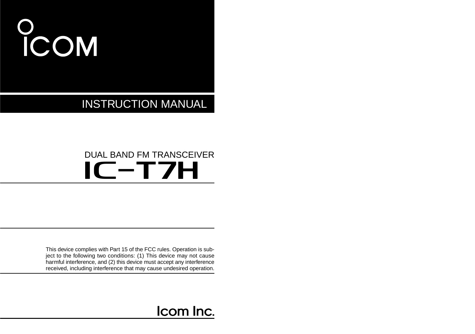# COM

INSTRUCTION MANUAL

# DUAL BAND FM TRANSCEIVER IC-T7H

This device complies with Part 15 of the FCC rules. Operation is subject to the following two conditions: (1) This device may not cause harmful interference, and (2) this device must accept any interference received, including interference that may cause undesired operation.

# Icom Inc.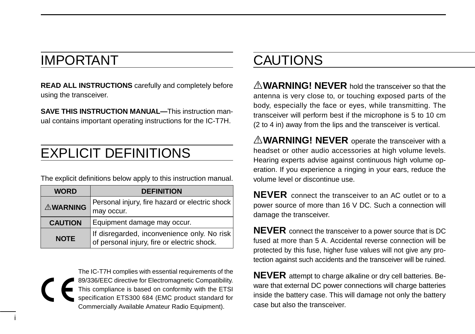# IMPORTANT

i

**READ ALL INSTRUCTIONS** carefully and completely before using the transceiver.

**SAVE THIS INSTRUCTION MANUAL—**This instruction manual contains important operating instructions for the IC-T7H.

# EXPLICIT DEFINITIONS

The explicit definitions below apply to this instruction manual.

| <b>DEFINITION</b><br><b>WORD</b> |                                                                                            |  |  |  |
|----------------------------------|--------------------------------------------------------------------------------------------|--|--|--|
| <b>AWARNING</b>                  | Personal injury, fire hazard or electric shock<br>may occur.                               |  |  |  |
| <b>CAUTION</b>                   | Equipment damage may occur.                                                                |  |  |  |
| <b>NOTE</b>                      | If disregarded, inconvenience only. No risk<br>of personal injury, fire or electric shock. |  |  |  |

The IC-T7H complies with essential requirements of the 89/336/EEC directive for Electromagnetic Compatibility. This compliance is based on conformity with the ETSI specification ETS300 684 (EMC product standard for Commercially Available Amateur Radio Equipment).

# CAUTIONS

A **WARNING! NEVER** hold the transceiver so that the antenna is very close to, or touching exposed parts of the body, especially the face or eyes, while transmitting. The transceiver will perform best if the microphone is 5 to 10 cm (2 to 4 in) away from the lips and the transceiver is vertical.

A WARNING! NEVER operate the transceiver with a headset or other audio accessories at high volume levels. Hearing experts advise against continuous high volume operation. If you experience a ringing in your ears, reduce the volume level or discontinue use.

**NEVER** connect the transceiver to an AC outlet or to a power source of more than 16 V DC. Such a connection will damage the transceiver.

**NEVER** connect the transceiver to a power source that is DC fused at more than 5 A. Accidental reverse connection will be protected by this fuse, higher fuse values will not give any protection against such accidents and the transceiver will be ruined.

**NEVER** attempt to charge alkaline or dry cell batteries. Beware that external DC power connections will charge batteries inside the battery case. This will damage not only the battery case but also the transceiver.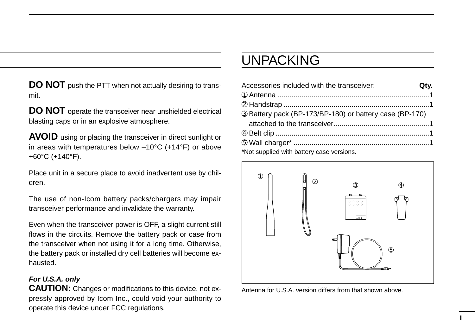**DO NOT** push the PTT when not actually desiring to transmit.

**DO NOT** operate the transceiver near unshielded electrical blasting caps or in an explosive atmosphere.

**AVOID** using or placing the transceiver in direct sunlight or in areas with temperatures below –10°C (+14°F) or above +60°C (+140°F).

Place unit in a secure place to avoid inadvertent use by children.

The use of non-Icom battery packs/chargers may impair transceiver performance and invalidate the warranty.

Even when the transceiver power is OFF, a slight current still flows in the circuits. Remove the battery pack or case from the transceiver when not using it for a long time. Otherwise, the battery pack or installed dry cell batteries will become exhausted.

### **For U.S.A. only**

**CAUTION:** Changes or modifications to this device, not expressly approved by Icom Inc., could void your authority to operate this device under FCC regulations.

# UNPACKING

| Accessories included with the transceiver:              | Qtv. |
|---------------------------------------------------------|------|
|                                                         |      |
|                                                         |      |
| 3 Battery pack (BP-173/BP-180) or battery case (BP-170) |      |
|                                                         |      |
|                                                         |      |
|                                                         |      |
| *Not supplied with battery case versions.               |      |



Antenna for U.S.A. version differs from that shown above.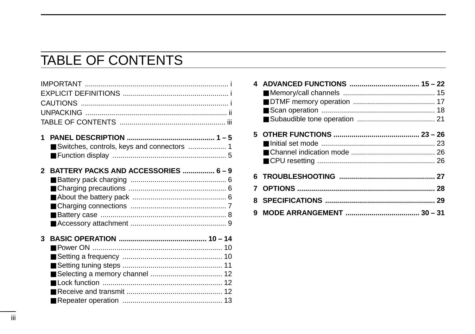# **TABLE OF CONTENTS**

| Switches, controls, keys and connectors  1 |  |
|--------------------------------------------|--|
| 2 BATTERY PACKS AND ACCESSORIES  6-9       |  |
|                                            |  |
|                                            |  |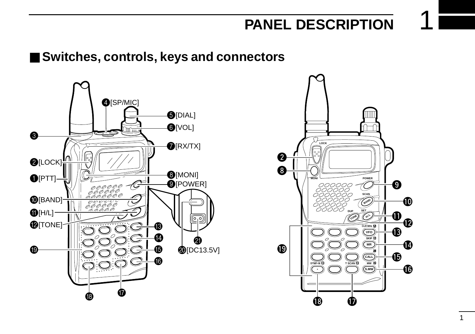# ■ **Switches, controls, keys and connectors**



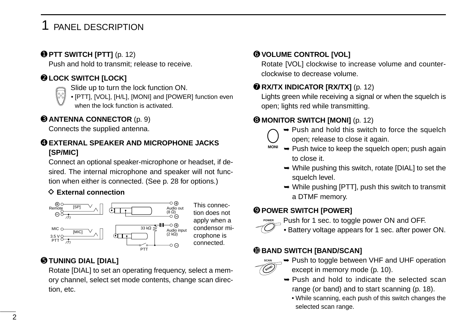### ➊ **PTT SWITCH [PTT]** (p. 12)

Push and hold to transmit; release to receive.

### ➋ **LOCK SWITCH [LOCK]**

Slide up to turn the lock function ON.



• [PTT], [VOL], [H/L], [MONI] and [POWER] function even when the lock function is activated.

### ➌ **ANTENNA CONNECTOR** (p. 9)

Connects the supplied antenna.

### ➍ **EXTERNAL SPEAKER AND MICROPHONE JACKS [SP/MIC]**

Connect an optional speaker-microphone or headset, if desired. The internal microphone and speaker will not function when either is connected. (See p. 28 for options.)

### $\Diamond$  **External connection**



### ➎ **TUNING DIAL [DIAL]**

Rotate [DIAL] to set an operating frequency, select a memory channel, select set mode contents, change scan direction, etc.

### ➏ **VOLUME CONTROL [VOL]**

Rotate [VOL] clockwise to increase volume and counterclockwise to decrease volume.

### **O RX/TX INDICATOR [RX/TX]** (p. 12)

Lights green while receiving a signal or when the squelch is open; lights red while transmitting.

### ➑ **MONITOR SWITCH [MONI]** (p. 12)

- 
- $\rightarrow$  Push and hold this switch to force the squelch open; release to close it again.
- $\rightarrow$  Push twice to keep the squelch open: push again to close it. **MONI**
	- ➥ While pushing this switch, rotate [DIAL] to set the squelch level.
	- $\rightarrow$  While pushing [PTT], push this switch to transmit a DTMF memory.

### ➒ **POWER SWITCH [POWER]**

Push for 1 sec. to toggle power ON and OFF. **POWER**



• Battery voltage appears for 1 sec. after power ON.

### ➓ **BAND SWITCH [BAND/SCAN]**



- **► Push to toggle between VHF and UHF operation** except in memory mode (p. 10).
- $\rightarrow$  Push and hold to indicate the selected scan range (or band) and to start scanning (p. 18).
	- While scanning, each push of this switch changes the selected scan range.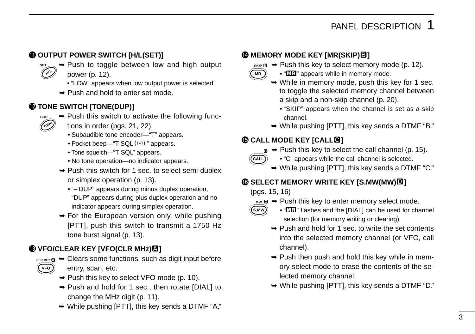### **10 OUTPUT POWER SWITCH [H/L(SET)]**

- ➥ Push to toggle between low and high output power (p. 12). ۸۱۱
	- "LOW" appears when low output power is selected.
	- ➥ Push and hold to enter set mode.

### !2**TONE SWITCH [TONE(DUP)]**



**SET H**

- $\rightarrow$  Push this switch to activate the following functions in order (pgs. 21, 22).
	- Subaudible tone encoder—"T" appears.
	- Pocket beep—" $T$  SQL $((\cdot))$ " appears.
	- Tone squelch—"T SQL" appears.
	- No tone operation—no indicator appears.
- ➥ Push this switch for 1 sec. to select semi-duplex or simplex operation (p. 13).
	- "– DUP" appears during minus duplex operation, "DUP" appears during plus duplex operation and no indicator appears during simplex operation.
- ➥ For the European version only, while pushing [PTT], push this switch to transmit a 1750 Hz tone burst signal (p. 13).

### $\bigcirc$  VFO/CLEAR KEY [VFO(CLR MHz) $\bigcirc$ ]



- **CLR MHz**  $\Omega$   $\rightarrow$  Clears some functions, such as digit input before entry, scan, etc.
	- $\rightarrow$  Push this key to select VFO mode (p. 10).
	- ➥ Push and hold for 1 sec., then rotate [DIAL] to change the MHz digit (p. 11).
	- ➥ While pushing [PTT], this key sends a DTMF "A."

### !4**MEMORY MODE KEY [MR(SKIP)**<**]**

- SKIP **B**  $\rightarrow$  Push this key to select memory mode (p. 12).
- **MR**
- "**ME**" appears while in memory mode.
- $\rightarrow$  While in memory mode, push this key for 1 sec. to toggle the selected memory channel between a skip and a non-skip channel (p. 20).
	- "SKIP" appears when the channel is set as a skip channel.
- $\rightarrow$  While pushing [PTT], this key sends a DTMF "B."

### $\bigcirc$ **CALL MODE KEY [CALLE]**

**■ ►** Push this key to select the call channel (p. 15).



- "C" appears while the call channel is selected.
- $\rightarrow$  While pushing [PTT], this key sends a DTMF "C."

### !6**SELECT MEMORY WRITE KEY [S.MW(MW)**>**]**

(pgs. 15, 16)

**INW D**  $\rightarrow$  Push this key to enter memory select mode.



- "Man" flashes and the [DIAL] can be used for channel selection (for memory writing or clearing).
- $\rightarrow$  Push and hold for 1 sec. to write the set contents into the selected memory channel (or VFO, call channel).
- $\rightarrow$  Push then push and hold this key while in memory select mode to erase the contents of the selected memory channel.
- ➥ While pushing [PTT], this key sends a DTMF "D."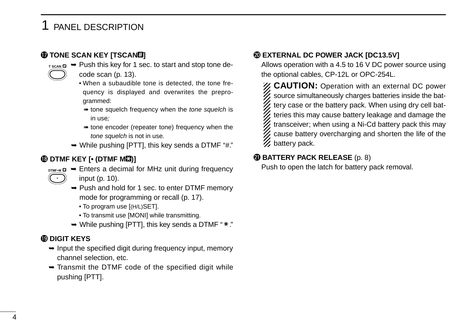### !7**TONE SCAN KEY [TSCAN**?**]**

- T SCAN **□ →** Push this key for 1 sec. to start and stop tone decode scan (p. 13).
	- When a subaudible tone is detected, the tone frequency is displayed and overwrites the preprogrammed:
	- **tone squelch frequency when the tone squelch is** in use;
	- ➠ tone encoder (repeater tone) frequency when the tone squelch is not in use.
	- $\rightarrow$  While pushing [PTT], this key sends a DTMF "#."

### !8**DTMF KEY [• (DTMF M**@**)]**

- **DTMF•M a**  $\rightarrow$  Enters a decimal for MHz unit during frequency input (p. 10). **.**
	- ➥ Push and hold for 1 sec. to enter DTMF memory mode for programming or recall (p. 17).
		- To program use [(H/L)SET].
		- To transmit use [MONI] while transmitting.
	- $\rightarrow$  While pushing [PTT], this key sends a DTMF " $\ast$ ."

### !9**DIGIT KEYS**

- $\rightarrow$  Input the specified digit during frequency input, memory channel selection, etc.
- $\rightarrow$  Transmit the DTMF code of the specified digit while pushing [PTT].

### @0**EXTERNAL DC POWER JACK [DC13.5V]**

Allows operation with a 4.5 to 16 V DC power source using the optional cables, CP-12L or OPC-254L.

**CAUTION:** Operation with an external DC power source simultaneously charges batteries inside the battery case or the battery pack. When using dry cell batteries this may cause battery leakage and damage the transceiver; when using a Ni-Cd battery pack this may cause battery overcharging and shorten the life of the **Z** battery pack.

### @1**BATTERY PACK RELEASE** (p. 8)

Push to open the latch for battery pack removal.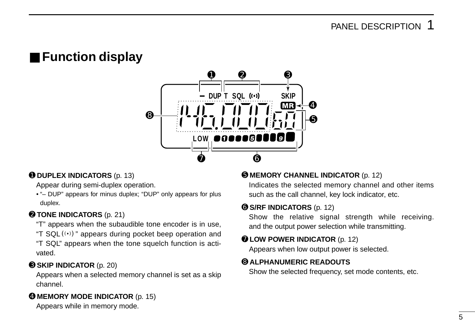# ■ **Function display**



### ➊ **DUPLEX INDICATORS** (p. 13)

Appear during semi-duplex operation.

• "– DUP" appears for minus duplex; "DUP" only appears for plus duplex.

### ➋ **TONE INDICATORS** (p. 21)

- "T" appears when the subaudible tone encoder is in use,
- "T SQL $(\cdot)$ " appears during pocket beep operation and
- "T SQL" appears when the tone squelch function is activated.

### ➌ **SKIP INDICATOR** (p. 20)

Appears when a selected memory channel is set as a skip channel.

### ➍ **MEMORY MODE INDICATOR** (p. 15)

Appears while in memory mode.

### ➎ **MEMORY CHANNEL INDICATOR** (p. 12)

Indicates the selected memory channel and other items such as the call channel, key lock indicator, etc.

### ➏ **S/RF INDICATORS** (p. 12)

Show the relative signal strength while receiving. and the output power selection while transmitting.

### ➐ **LOW POWER INDICATOR** (p. 12)

Appears when low output power is selected.

### ➑ **ALPHANUMERIC READOUTS**

Show the selected frequency, set mode contents, etc.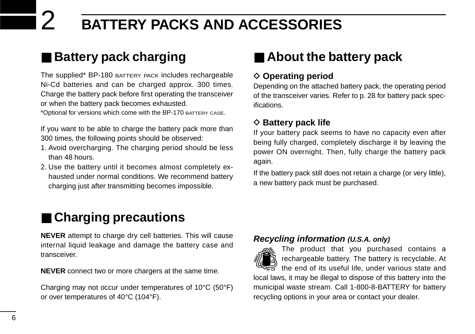# ■ **Battery pack charging**

The supplied\* BP-180 BATTERY PACK includes rechargeable Ni-Cd batteries and can be charged approx. 300 times. Charge the battery pack before first operating the transceiver or when the battery pack becomes exhausted.

\*Optional for versions which come with the BP-170 BATTERY CASE.

If you want to be able to charge the battery pack more than 300 times, the following points should be observed:

- 1. Avoid overcharging. The charging period should be less than 48 hours.
- 2. Use the battery until it becomes almost completely exhausted under normal conditions. We recommend battery charging just after transmitting becomes impossible.

# ■ **Charging precautions**

**NEVER** attempt to charge dry cell batteries. This will cause internal liquid leakage and damage the battery case and transceiver.

**NEVER** connect two or more chargers at the same time.

Charging may not occur under temperatures of 10°C (50°F) or over temperatures of 40°C (104°F).

# ■ About the battery pack

### **♦ Operating period**

Depending on the attached battery pack, the operating period of the transceiver varies. Refer to p. 28 for battery pack specifications.

### **♦ Battery pack life**

If your battery pack seems to have no capacity even after being fully charged, completely discharge it by leaving the power ON overnight. Then, fully charge the battery pack again.

If the battery pack still does not retain a charge (or very little), a new battery pack must be purchased.

### **Recycling information (U.S.A. only)**

The product that you purchased contains a rechargeable battery. The battery is recyclable. At the end of its useful life, under various state and local laws, it may be illegal to dispose of this battery into the municipal waste stream. Call 1-800-8-BATTERY for battery recycling options in your area or contact your dealer. **RBRC RBRC Ni-Cd**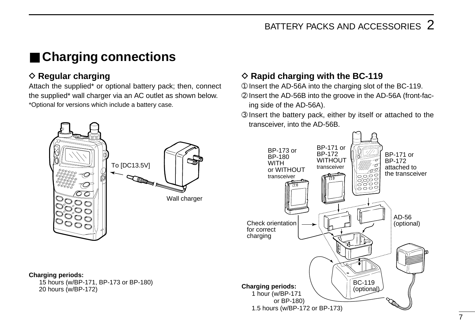# ■ **Charging connections**

### **♦ Regular charging**

Attach the supplied\* or optional battery pack; then, connect the supplied\* wall charger via an AC outlet as shown below. \*Optional for versions which include a battery case.

### $\diamond$  Rapid charging with the BC-119

- ➀ Insert the AD-56A into the charging slot of the BC-119.
- ➁ Insert the AD-56B into the groove in the AD-56A (front-facing side of the AD-56A).
- ➂ Insert the battery pack, either by itself or attached to the transceiver, into the AD-56B.

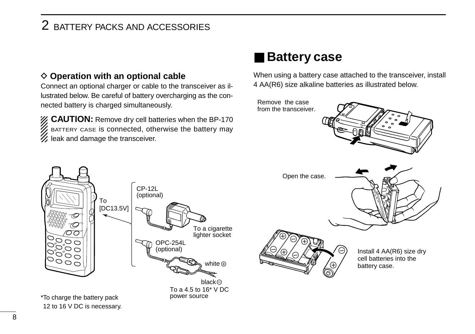### $\diamond$  Operation with an optional cable

Connect an optional charger or cable to the transceiver as illustrated below. Be careful of battery overcharging as the connected battery is charged simultaneously.

**CAUTION:** Remove dry cell batteries when the BP-170 BATTERY CASE is connected, otherwise the battery may  $\mathscr U$  leak and damage the transceiver.

# ■ **Battery case**

When using a battery case attached to the transceiver, install 4 AA(R6) size alkaline batteries as illustrated below.





12 to 16 V DC is necessary.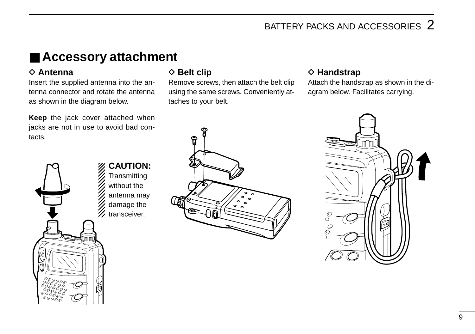# ■ **Accessory attachment**

### **♦ Antenna**

Insert the supplied antenna into the antenna connector and rotate the antenna as shown in the diagram below.

**Keep** the jack cover attached when jacks are not in use to avoid bad contacts.



### **◇ Belt clip**

Remove screws, then attach the belt clip using the same screws. Conveniently attaches to your belt.

# ទ

### **♦ Handstrap**

Attach the handstrap as shown in the diagram below. Facilitates carrying.

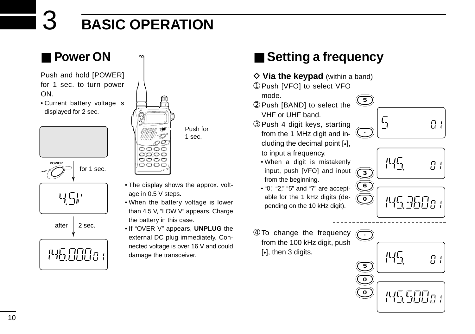# ■ **Power ON**

Push and hold [POWER] for 1 sec. to turn power ON.

• Current battery voltage is displayed for 2 sec.





- The display shows the approx. voltage in 0.5 V steps.
- When the battery voltage is lower than 4.5 V, "LOW V" appears. Charge the battery in this case.
- If "OVER V" appears, **UNPLUG** the external DC plug immediately. Connected voltage is over 16 V and could damage the transceiver.

# ■ Setting a frequency

- $\diamond$  Via the keypad (within a band)
- ➀ Push [VFO] to select VFO mode.
- ➁ Push [BAND] to select the VHF or UHF band.
- ➂ Push 4 digit keys, starting from the 1 MHz digit and including the decimal point [•], to input a frequency.
	- When a digit is mistakenly input, push [VFO] and input from the beginning.
	- "0," "2," "5" and "7" are acceptable for the 1 kHz digits (depending on the 10 kHz digit).
- ➃ To change the frequency from the 100 kHz digit, push [•], then 3 digits.





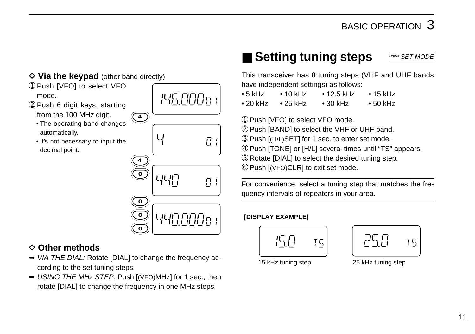### $\Diamond$  Via the keypad (other band directly)

- ➀ Push [VFO] to select VFO mode.
- ➁ Push 6 digit keys, starting from the 100 MHz digit.
	- The operating band changes automatically.
	- It's not necessary to input the decimal point.



性质比脱原

### **♦ Other methods**

- ➥ VIA THE DIAL: Rotate [DIAL] to change the frequency according to the set tuning steps.
- ➥ USING THE MHz STEP: Push [(VFO)MHz] for 1 sec., then rotate [DIAL] to change the frequency in one MHz steps.

### ■ **Setting tuning steps** USING **SET MODE**

This transceiver has 8 tuning steps (VHF and UHF bands have independent settings) as follows:

• 5 kHz • 10 kHz • 12.5 kHz • 15 kHz • 20 kHz • 25 kHz • 30 kHz • 50 kHz

➀ Push [VFO] to select VFO mode.

- ➁ Push [BAND] to select the VHF or UHF band.
- ➂ Push [(H/L)SET] for 1 sec. to enter set mode.
- ➃ Push [TONE] or [H/L] several times until "TS" appears.
- ➄ Rotate [DIAL] to select the desired tuning step.
- ➅ Push [(VFO)CLR] to exit set mode.

For convenience, select a tuning step that matches the frequency intervals of repeaters in your area.

### **[DISPLAY EXAMPLE]**





15 kHz tuning step 25 kHz tuning step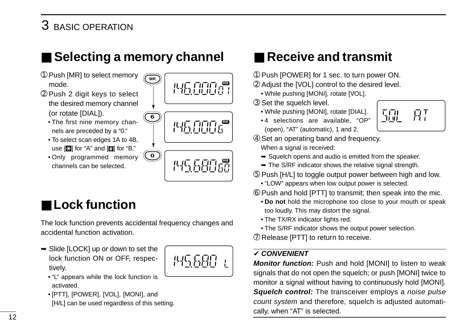# ■ Selecting a memory channel

**MR**

**6**

**0**

- ➀ Push [MR] to select memory mode.
- ➁ Push 2 digit keys to select the desired memory channel (or rotate [DIAL]).
	- The first nine memory channels are preceded by a "0."
	- To select scan edges 1A to 4B, use  $[2]$  for "A" and  $[2]$  for "B."
	- Only programmed memory channels can be selected.

# ■ **Lock function**

The lock function prevents accidental frequency changes and accidental function activation.

➥ Slide [LOCK] up or down to set the lock function ON or OFF, respectively.



**MR**

**MRANDE** 

**MREER** 

- "L" appears while the lock function is activated.
- [PTT], [POWER], [VOL], [MONI], and [H/L] can be used regardless of this setting.



- ➀ Push [POWER] for 1 sec. to turn power ON.
- ➁ Adjust the [VOL] control to the desired level.
	- While pushing [MONI], rotate [VOL].
- ➂ Set the squelch level.
	- While pushing [MONI], rotate [DIAL].
	- 4 selections are available, "OP" (open), "AT" (automatic), 1 and 2.



- ➃ Set an operating band and frequency. When a signal is received:
	- $\rightarrow$  Squelch opens and audio is emitted from the speaker.
	- $\rightarrow$  The S/RF indicator shows the relative signal strength.
- ➄ Push [H/L] to toggle output power between high and low.
	- "LOW" appears when low output power is selected.
- ➅ Push and hold [PTT] to transmit; then speak into the mic.
	- **Do not** hold the microphone too close to your mouth or speak too loudly. This may distort the signal.
	- The TX/RX indicator lights red.
	- The S/RF indicator shows the output power selection.
- ➆ Release [PTT] to return to receive.

### ✔ **CONVENIENT**

**Monitor function:** Push and hold [MONI] to listen to weak signals that do not open the squelch; or push [MONI] twice to monitor a signal without having to continuously hold [MONI]. **Squelch control:** The transceiver employs a noise pulse count system and therefore, squelch is adjusted automatically, when "AT" is selected.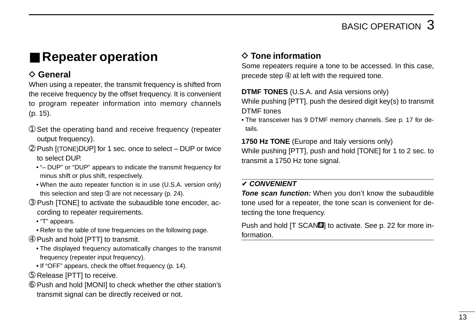# ■ **Repeater operation**

### **♦ General**

When using a repeater, the transmit frequency is shifted from the receive frequency by the offset frequency. It is convenient to program repeater information into memory channels (p. 15).

- ➀ Set the operating band and receive frequency (repeater output frequency).
- ➁ Push [(TONE)DUP] for 1 sec. once to select DUP or twice to select DUP.
	- "– DUP" or "DUP" appears to indicate the transmit frequency for minus shift or plus shift, respectively.
	- When the auto repeater function is in use (U.S.A. version only) this selection and step *®* are not necessary (p. 24).
- ➂ Push [TONE] to activate the subaudible tone encoder, according to repeater requirements.
	- "T" appears.
	- Refer to the table of tone frequencies on the following page.
- ➃ Push and hold [PTT] to transmit.
	- The displayed frequency automatically changes to the transmit frequency (repeater input frequency).
	- If "OFF" appears, check the offset frequency (p. 14).
- ➄ Release [PTT] to receive.
- ➅ Push and hold [MONI] to check whether the other station's transmit signal can be directly received or not.

### **♦ Tone information**

Some repeaters require a tone to be accessed. In this case, precede step ➃ at left with the required tone.

### **DTMF TONES** (U.S.A. and Asia versions only)

While pushing [PTT], push the desired digit key(s) to transmit DTMF tones

• The transceiver has 9 DTMF memory channels. See p. 17 for details.

**1750 Hz TONE** (Europe and Italy versions only) While pushing [PTT], push and hold [TONE] for 1 to 2 sec. to transmit a 1750 Hz tone signal.

### ✔ **CONVENIENT**

**Tone scan function:** When you don't know the subaudible tone used for a repeater, the tone scan is convenient for detecting the tone frequency.

Push and hold [T SCAN**!]** to activate. See p. 22 for more information.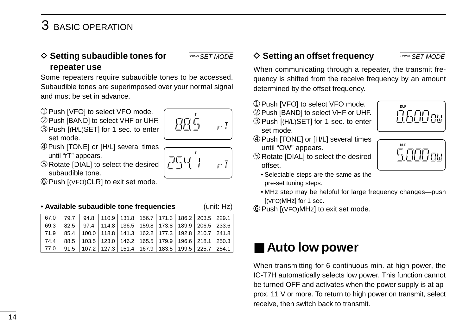### **♦ Setting subaudible tones for repeater use**

Some repeaters require subaudible tones to be accessed. Subaudible tones are superimposed over your normal signal and must be set in advance.

- ➀ Push [VFO] to select VFO mode.
- ➁ Push [BAND] to select VHF or UHF.
- ➂ Push [(H/L)SET] for 1 sec. to enter set mode.
- ➃ Push [TONE] or [H/L] several times until "rT" appears.
- ➄ Rotate [DIAL] to select the desired subaudible tone.
- ➅ Push [(VFO)CLR] to exit set mode.

• **Available subaudible tone frequencies** (unit: Hz)

 $r\bar{1}$ 

 $\overline{r}$ 

**T**

出生

بیجتر

|  |  |  |  | 67.0   79.7   94.8   110.9   131.8   156.7   171.3   186.2   203.5   229.1  |
|--|--|--|--|-----------------------------------------------------------------------------|
|  |  |  |  | 69.3   82.5   97.4   114.8   136.5   159.8   173.8   189.9   206.5   233.6  |
|  |  |  |  | 71.9   85.4   100.0   118.8   141.3   162.2   177.3   192.8   210.7   241.8 |
|  |  |  |  | 74.4   88.5   103.5   123.0   146.2   165.5   179.9   196.6   218.1   250.3 |
|  |  |  |  | 77.0   91.5   107.2   127.3   151.4   167.9   183.5   199.5   225.7   254.1 |

### USING SET MODE  $\Diamond$  Setting an offset frequency

When communicating through a repeater, the transmit frequency is shifted from the receive frequency by an amount determined by the offset frequency.

- ➀ Push [VFO] to select VFO mode.
- ➁ Push [BAND] to select VHF or UHF.
- ➂ Push [(H/L)SET] for 1 sec. to enter set mode.
- ➃ Push [TONE] or [H/L] several times until "OW" appears.
- ➄ Rotate [DIAL] to select the desired offset.
	- Selectable steps are the same as the pre-set tuning steps.
	- MHz step may be helpful for large frequency changes—push [(VFO)MHz] for 1 sec.
- ➅ Push [(VFO)MHz] to exit set mode.

# ■ **Auto low power**

When transmitting for 6 continuous min. at high power, the IC-T7H automatically selects low power. This function cannot be turned OFF and activates when the power supply is at approx. 11 V or more. To return to high power on transmit, select receive, then switch back to transmit.

**DUP**



USING SET MODE

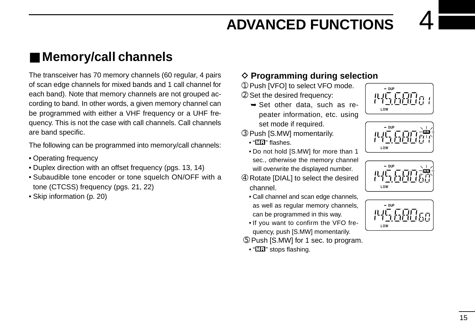# ■ Memory/call channels

The transceiver has 70 memory channels (60 regular, 4 pairs of scan edge channels for mixed bands and 1 call channel for each band). Note that memory channels are not grouped according to band. In other words, a given memory channel can be programmed with either a VHF frequency or a UHF frequency. This is not the case with call channels. Call channels are band specific.

The following can be programmed into memory/call channels:

- Operating frequency
- Duplex direction with an offset frequency (pgs. 13, 14)
- Subaudible tone encoder or tone squelch ON/OFF with a tone (CTCSS) frequency (pgs. 21, 22)
- Skip information (p. 20)

### **♦ Programming during selection**

➀ Push [VFO] to select VFO mode.

➁ Set the desired frequency:

- ➥ Set other data, such as repeater information, etc. using set mode if required.
- ➂ Push [S.MW] momentarily.
	- $\cdot$  " $\overline{\text{Mil}}$ " flashes.
	- Do not hold [S.MW] for more than 1 sec., otherwise the memory channel will overwrite the displayed number.
- ➃ Rotate [DIAL] to select the desired channel.
	- Call channel and scan edge channels, as well as regular memory channels, can be programmed in this way.
	- If you want to confirm the VFO frequency, push [S.MW] momentarily.
- ➄ Push [S.MW] for 1 sec. to program.
	- "**ME**" stops flashing.







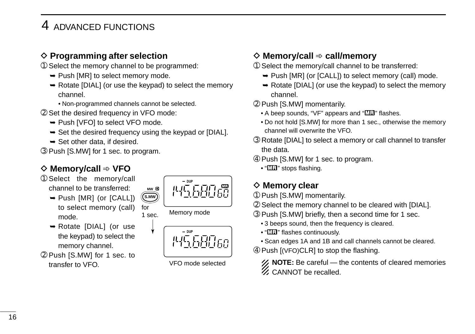### **♦ Programming after selection**

- ➀ Select the memory channel to be programmed:
	- $\rightarrow$  Push [MR] to select memory mode.
	- ➥ Rotate [DIAL] (or use the keypad) to select the memory channel.
		- Non-programmed channels cannot be selected.
- ➁ Set the desired frequency in VFO mode:
	- ➥ Push [VFO] to select VFO mode.
	- $\rightarrow$  Set the desired frequency using the keypad or [DIAL].

for

**S.MW**

- $\rightarrow$  Set other data, if desired.
- ➂ Push [S.MW] for 1 sec. to program.

### D **Memory/call** ➾ **VFO**

- ➀ Select the memory/call channel to be transferred:
	- ➥ Push [MR] (or [CALL]) to select memory (call) mode.
	- ➥ Rotate [DIAL] (or use the keypad) to select the memory channel.
- ➁ Push [S.MW] for 1 sec. to transfer to VFO.



 $1 \text{ sec}$ . Memory mode



VFO mode selected

### D **Memory/call** ➾ **call/memory**

- ➀ Select the memory/call channel to be transferred:
	- ➥ Push [MR] (or [CALL]) to select memory (call) mode.
	- ➥ Rotate [DIAL] (or use the keypad) to select the memory channel.
- ➁ Push [S.MW] momentarily.
	- A beep sounds, "VF" appears and "Ma" flashes.
	- Do not hold [S.MW] for more than 1 sec., otherwise the memory channel will overwrite the VFO.
- ➂ Rotate [DIAL] to select a memory or call channel to transfer the data.
- ➃ Push [S.MW] for 1 sec. to program.
	- "**ME**" stops flashing.

### **♦ Memory clear**

- ➀ Push [S.MW] momentarily.
- ➁ Select the memory channel to be cleared with [DIAL].
- ➂ Push [S.MW] briefly, then a second time for 1 sec.
	- 3 beeps sound, then the frequency is cleared.
	- "**MEI**" flashes continuously.
	- Scan edges 1A and 1B and call channels cannot be cleared.
- ➃ Push [(VFO)CLR] to stop the flashing.

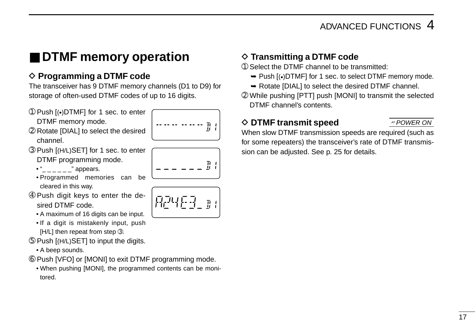# ■ **DTMF** memory operation

### **♦ Programming a DTMF code**

The transceiver has 9 DTMF memory channels (D1 to D9) for storage of often-used DTMF codes of up to 16 digits.

- ➀ Push [(•)DTMF] for 1 sec. to enter DTMF memory mode.
- ➁ Rotate [DIAL] to select the desired channel.
- ➂ Push [(H/L)SET] for 1 sec. to enter DTMF programming mode.

• " appears.

- Programmed memories can be cleared in this way.
- ➃ Push digit keys to enter the desired DTMF code.
	- A maximum of 16 digits can be input.
	- If a digit is mistakenly input, push [H/L] then repeat from step **<b>** 3.
- ➄ Push [(H/L)SET] to input the digits.
	- A beep sounds.
- ➅ Push [VFO] or [MONI] to exit DTMF programming mode.
	- When pushing [MONI], the programmed contents can be monitored.

### $\diamond$  Transmitting a DTMF code

- ➀ Select the DTMF channel to be transmitted:
	- ➥ Push [(•)DTMF] for 1 sec. to select DTMF memory mode.
	- ➥ Rotate [DIAL] to select the desired DTMF channel.
- ➁ While pushing [PTT] push [MONI] to transmit the selected DTMF channel's contents.

### **♦ DTMF transmit speed**

AT POWER ON

When slow DTMF transmission speeds are required (such as for some repeaters) the transceiver's rate of DTMF transmission can be adjusted. See p. 25 for details.



ij.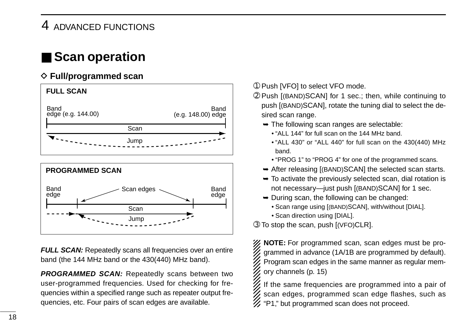# ■ **Scan operation**

### **♦ Full/programmed scan**



**FULL SCAN:** Repeatedly scans all frequencies over an entire band (the 144 MHz band or the 430(440) MHz band).

**PROGRAMMED SCAN:** Repeatedly scans between two user-programmed frequencies. Used for checking for frequencies within a specified range such as repeater output frequencies, etc. Four pairs of scan edges are available.

- ➀ Push [VFO] to select VFO mode.
- ➁ Push [(BAND)SCAN] for 1 sec.; then, while continuing to push [(BAND)SCAN], rotate the tuning dial to select the desired scan range.
	- $\rightarrow$  The following scan ranges are selectable:
		- "ALL 144" for full scan on the 144 MHz band.
		- "ALL 430" or "ALL 440" for full scan on the 430(440) MHz band.
		- "PROG 1" to "PROG 4" for one of the programmed scans.
	- ➥ After releasing [(BAND)SCAN] the selected scan starts.
	- $\rightarrow$  To activate the previously selected scan, dial rotation is not necessary—just push [(BAND)SCAN] for 1 sec.
	- $\rightarrow$  During scan, the following can be changed:
		- Scan range using [(BAND)SCAN], with/without [DIAL].
		- Scan direction using [DIAL].
- ➂ To stop the scan, push [(VFO)CLR].

X **NOTE:** For programmed scan, scan edges must be programmed in advance (1A/1B are programmed by default). Program scan edges in the same manner as regular memory channels (p. 15)

If the same frequencies are programmed into a pair of scan edges, programmed scan edge flashes, such as % "P1," but programmed scan does not proceed.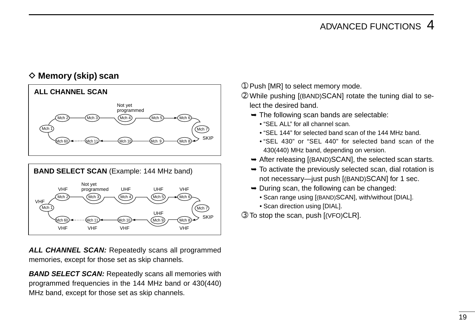### **◇ Memory (skip) scan**



ALL CHANNEL SCAN: Repeatedly scans all programmed memories, except for those set as skip channels.

**BAND SELECT SCAN:** Repeatedly scans all memories with programmed frequencies in the 144 MHz band or 430(440) MHz band, except for those set as skip channels.

➀ Push [MR] to select memory mode.

➁ While pushing [(BAND)SCAN] rotate the tuning dial to select the desired band.

- $\rightarrow$  The following scan bands are selectable:
	- "SEL ALL" for all channel scan.
	- "SEL 144" for selected band scan of the 144 MHz band.
	- "SEL 430" or "SEL 440" for selected band scan of the 430(440) MHz band, depending on version.
- **► After releasing [(BAND)SCAN], the selected scan starts.**
- $\rightarrow$  To activate the previously selected scan, dial rotation is not necessary—just push [(BAND)SCAN] for 1 sec.
- $\rightarrow$  During scan, the following can be changed:
	- Scan range using [(BAND)SCAN], with/without [DIAL].
	- Scan direction using [DIAL].

➂ To stop the scan, push [(VFO)CLR].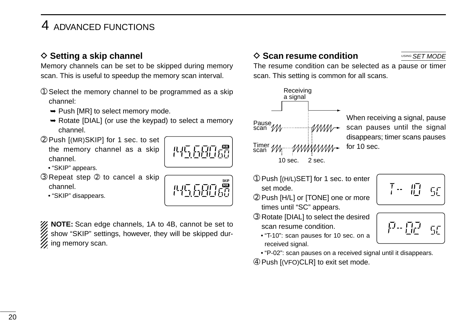### **♦ Setting a skip channel**

Memory channels can be set to be skipped during memory scan. This is useful to speedup the memory scan interval.

- ➀ Select the memory channel to be programmed as a skip channel:
	- $\rightarrow$  Push [MR] to select memory mode.
	- ➥ Rotate [DIAL] (or use the keypad) to select a memory channel.
- ➁ Push [(MR)SKIP] for 1 sec. to set the memory channel as a skip channel.



**SKIP MR**

- "SKIP" appears.
- ➂ Repeat step ➁ to cancel a skip channel.
	- "SKIP" disappears.

XX **NOTE:** Scan edge channels, 1A to 4B, cannot be set to show "SKIP" settings, however, they will be skipped dur- $\mathscr{U}$  ing memory scan.

### $\diamond$  Scan resume condition

USING **SET MODE** 

The resume condition can be selected as a pause or timer scan. This setting is common for all scans.



When receiving a signal, pause scan pauses until the signal disappears; timer scans pauses for 10 sec.

- ➀ Push [(H/L)SET] for 1 sec. to enter set mode.
- ➁ Push [H/L] or [TONE] one or more times until "SC" appears.
- ➂ Rotate [DIAL] to select the desired scan resume condition.
	- "T-10": scan pauses for 10 sec. on a received signal.
	- "P-02": scan pauses on a received signal until it disappears.

➃ Push [(VFO)CLR] to exit set mode.

$$
\overline{\left[\begin{array}{cc} \cdot & \cdot \\ \cdot & \cdot \end{array}\right] \cup \left[\begin{array}{cc} \cdot & \cdot \\ \cdot & \cdot \end{array}\right]}
$$

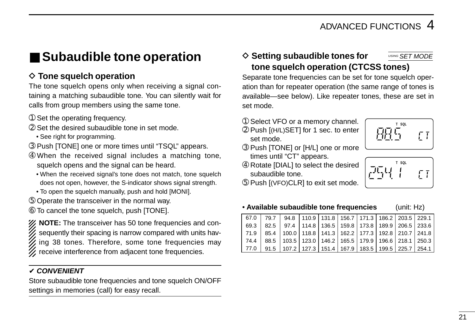# ■ Subaudible tone operation

### $\diamond$  Tone squelch operation

The tone squelch opens only when receiving a signal containing a matching subaudible tone. You can silently wait for calls from group members using the same tone.

- ➀ Set the operating frequency.
- ➁ Set the desired subaudible tone in set mode.
	- See right for programming.
- ➂ Push [TONE] one or more times until "TSQL" appears.
- ➃ When the received signal includes a matching tone, squelch opens and the signal can be heard.
	- When the received signal's tone does not match, tone squelch does not open, however, the S-indicator shows signal strength.
	- To open the squelch manually, push and hold [MONI].
- ➄ Operate the transceiver in the normal way.
- ➅ To cancel the tone squelch, push [TONE].

**NOTE:** The transceiver has 50 tone frequencies and consequently their spacing is narrow compared with units having 38 tones. Therefore, some tone frequencies may receive interference from adjacent tone frequencies.

### ✔ **CONVENIENT**

Store subaudible tone frequencies and tone squelch ON/OFF settings in memories (call) for easy recall.

### **♦ Setting subaudible tones for tone squelch operation (CTCSS tones)** USING **SET MODE**

Separate tone frequencies can be set for tone squelch operation than for repeater operation (the same range of tones is available—see below). Like repeater tones, these are set in set mode.

- ➀ Select VFO or a memory channel.
- ➁ Push [(H/L)SET] for 1 sec. to enter set mode.
- ➂ Push [TONE] or [H/L] one or more times until "CT" appears.
- ➃ Rotate [DIAL] to select the desired subaudible tone.
- ➄ Push [(VFO)CLR] to exit set mode.



| J | T SQL |  |
|---|-------|--|
|   |       |  |

• **Available subaudible tone frequencies** (unit: Hz)

| 67.0   79.7   94.8   110.9   131.8   156.7   171.3   186.2   203.5   229.1             |  |  |  |  |  |
|----------------------------------------------------------------------------------------|--|--|--|--|--|
| 69.3   82.5   97.4   114.8   136.5   159.8   173.8   189.9   206.5   233.6             |  |  |  |  |  |
| <u>  71.9   85.4   100.0   118.8   141.3   162.2   177.3   192.8   210.7   241.8  </u> |  |  |  |  |  |
| 74.4   88.5   103.5   123.0   146.2   165.5   179.9   196.6   218.1   250.3            |  |  |  |  |  |
| 77.0   91.5   107.2   127.3   151.4   167.9   183.5   199.5   225.7   254.1            |  |  |  |  |  |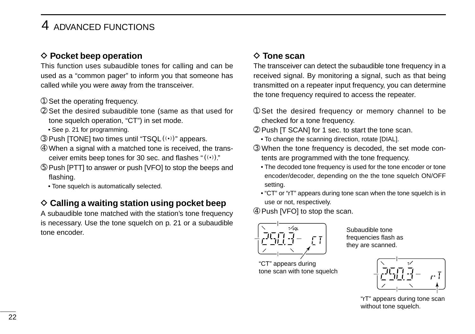### **♦ Pocket beep operation**

This function uses subaudible tones for calling and can be used as a "common pager" to inform you that someone has called while you were away from the transceiver.

- ➀ Set the operating frequency.
- ➁ Set the desired subaudible tone (same as that used for tone squelch operation, "CT") in set mode.
	- See p. 21 for programming.
- ➂ Push [TONE] two times until "TSQLS" appears.
- ➃ When a signal with a matched tone is received, the transceiver emits beep tones for 30 sec. and flashes " $( (*)$ ."
- ➄ Push [PTT] to answer or push [VFO] to stop the beeps and flashing.
	- Tone squelch is automatically selected.

### **♦ Calling a waiting station using pocket beep**

A subaudible tone matched with the station's tone frequency is necessary. Use the tone squelch on p. 21 or a subaudible tone encoder.

### **♦ Tone scan**

The transceiver can detect the subaudible tone frequency in a received signal. By monitoring a signal, such as that being transmitted on a repeater input frequency, you can determine the tone frequency required to access the repeater.

- ➀ Set the desired frequency or memory channel to be checked for a tone frequency.
- ➁ Push [T SCAN] for 1 sec. to start the tone scan.
	- To change the scanning direction, rotate [DIAL].
- ➂ When the tone frequency is decoded, the set mode contents are programmed with the tone frequency.
	- The decoded tone frequency is used for the tone encoder or tone encoder/decoder, depending on the the tone squelch ON/OFF setting.
	- "CT" or "rT" appears during tone scan when the tone squelch is in use or not, respectively.
- ➃ Push [VFO] to stop the scan.



Subaudible tone frequencies flash as they are scanned.

"CT" appears during tone scan with tone squelch

**T** . T

"rT" appears during tone scan without tone squelch.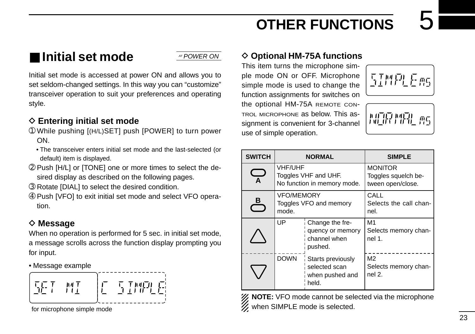# ■ **Initial set mode**

AT POWER ON

Initial set mode is accessed at power ON and allows you to set seldom-changed settings. In this way you can "customize" transceiver operation to suit your preferences and operating style.

### **♦ Entering initial set mode**

- ➀ While pushing [(H/L)SET] push [POWER] to turn power ON.
	- The transceiver enters initial set mode and the last-selected (or default) item is displayed.
- ➁ Push [H/L] or [TONE] one or more times to select the desired display as described on the following pages.
- ➂ Rotate [DIAL] to select the desired condition.
- ➃ Push [VFO] to exit initial set mode and select VFO operation.

### **◇ Message**

When no operation is performed for 5 sec. in initial set mode, a message scrolls across the function display prompting you for input.

• Message example



for microphone simple mode

### **♦ Optional HM-75A functions**

This item turns the microphone simple mode ON or OFF. Microphone simple mode is used to change the function assignments for switches on the optional HM-75A REMOTE CON-TROL MICROPHONE as below. This assignment is convenient for 3-channel use of simple operation.



XX **NOTE:** VFO mode cannot be selected via the microphone  $\%$  when SIMPLE mode is selected.

互牌队兵船

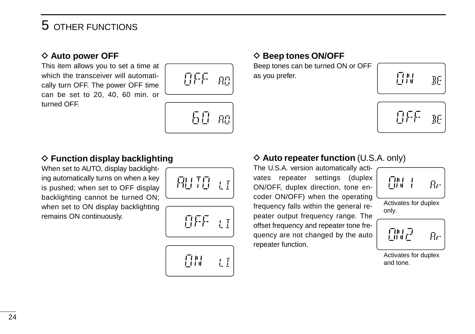### **♦ Auto power OFF**

This item allows you to set a time at which the transceiver will automatically turn OFF. The power OFF time can be set to 20, 40, 60 min. or turned OFF.





### **♦ Function display backlighting**

When set to AUTO, display backlighting automatically turns on when a key is pushed; when set to OFF display backlighting cannot be turned ON; when set to ON display backlighting remains ON continuously.





丑聞  $L\overline{I}$ 

### **◇ Beep tones ON/OFF**

Beep tones can be turned ON or OFF as you prefer.

| 眉間<br>胚 |
|---------|
|         |



### **♦ Auto repeater function (U.S.A. only)**

The U.S.A. version automatically activates repeater settings (duplex ON/OFF, duplex direction, tone encoder ON/OFF) when the operating frequency falls within the general repeater output frequency range. The offset frequency and repeater tone frequency are not changed by the auto repeater function.



Activates for duplex only.

孤足  $R_{\rm f}$ 

Activates for duplex and tone.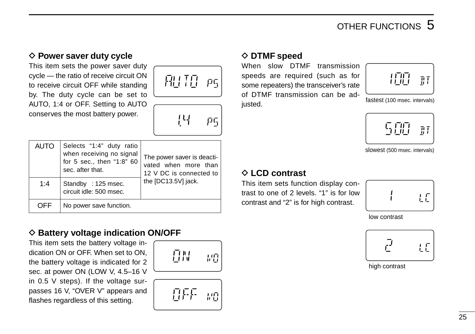### **♦ Power saver duty cycle**

This item sets the power saver duty cycle — the ratio of receive circuit ON to receive circuit OFF while standing by. The duty cycle can be set to AUTO, 1:4 or OFF. Setting to AUTO conserves the most battery power.



巴

Ρ5



### **♦ Battery voltage indication ON/OFF**

This item sets the battery voltage indication ON or OFF. When set to ON, the battery voltage is indicated for 2 sec. at power ON (LOW V, 4.5–16 V in 0.5 V steps). If the voltage surpasses 16 V, "OVER V" appears and flashes regardless of this setting.

$$
\mathbb{E}^{\mathbb{N}} \to \mathbb{G}
$$



### **◇ DTMF speed**

When slow DTMF transmission speeds are required (such as for some repeaters) the transceiver's rate of DTMF transmission can be adjusted.



fastest (100 msec. intervals)



slowest (500 msec. intervals)

### D **LCD contrast**

This item sets function display contrast to one of 2 levels. "1" is for low contrast and "2" is for high contrast.



low contrast



high contrast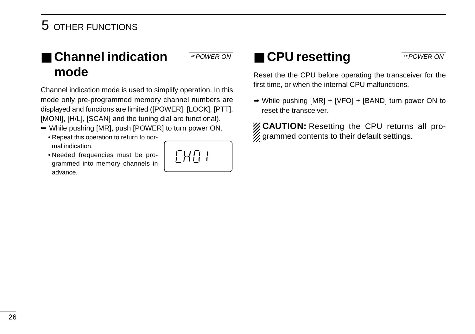# ■ **Channel indication mode**

Channel indication mode is used to simplify operation. In this mode only pre-programmed memory channel numbers are displayed and functions are limited ([POWER], [LOCK], [PTT], [MONI], [H/L], [SCAN] and the tuning dial are functional).

- ➥ While pushing [MR], push [POWER] to turn power ON.
	- Repeat this operation to return to normal indication.
	- Needed frequencies must be programmed into memory channels in advance.



# **AT POWER ON ATPOWER ON ATPOWER ON ATPOWER ON**

Reset the the CPU before operating the transceiver for the first time, or when the internal CPU malfunctions.

➥ While pushing [MR] + [VFO] + [BAND] turn power ON to reset the transceiver.

*Z* CAUTION: Resetting the CPU returns all pro- $\mathscr{U}$  grammed contents to their default settings.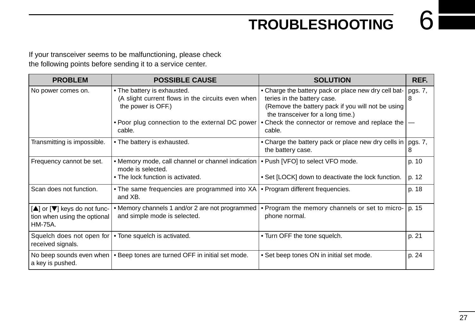# **TROUBLESHOOTING**

If your transceiver seems to be malfunctioning, please check the following points before sending it to a service center.

| <b>PROBLEM</b>                                                                 | <b>POSSIBLE CAUSE</b>                                                                                                                                     | <b>SOLUTION</b>                                                                                                                                                                                                                  | REF.         |
|--------------------------------------------------------------------------------|-----------------------------------------------------------------------------------------------------------------------------------------------------------|----------------------------------------------------------------------------------------------------------------------------------------------------------------------------------------------------------------------------------|--------------|
| No power comes on.                                                             | • The battery is exhausted.<br>(A slight current flows in the circuits even when<br>the power is OFF.)<br>• Poor plug connection to the external DC power | • Charge the battery pack or place new dry cell bat-<br>teries in the battery case.<br>(Remove the battery pack if you will not be using<br>the transceiver for a long time.)<br>• Check the connector or remove and replace the | pgs. 7,<br>8 |
|                                                                                | cable.                                                                                                                                                    | cable.                                                                                                                                                                                                                           |              |
| Transmitting is impossible.                                                    | • The battery is exhausted.                                                                                                                               | • Charge the battery pack or place new dry cells in<br>the battery case.                                                                                                                                                         | pgs. 7,<br>8 |
| Frequency cannot be set.                                                       | • Memory mode, call channel or channel indication   • Push [VFO] to select VFO mode.<br>mode is selected.                                                 |                                                                                                                                                                                                                                  | p. 10        |
|                                                                                | • The lock function is activated.                                                                                                                         | • Set [LOCK] down to deactivate the lock function.                                                                                                                                                                               | p. 12        |
| Scan does not function.                                                        | • The same frequencies are programmed into XA<br>and XB.                                                                                                  | • Program different frequencies.                                                                                                                                                                                                 | p. 18        |
| [▲] or [▼] keys do not func-<br>tion when using the optional<br><b>HM-75A.</b> | • Memory channels 1 and/or 2 are not programmed<br>and simple mode is selected.                                                                           | • Program the memory channels or set to micro-<br>phone normal.                                                                                                                                                                  | p. 15        |
| received signals.                                                              | Squelch does not open for $\cdot$ Tone squelch is activated.                                                                                              | • Turn OFF the tone squelch.                                                                                                                                                                                                     | p. 21        |
| a key is pushed.                                                               | No beep sounds even when   • Beep tones are turned OFF in initial set mode.                                                                               | • Set beep tones ON in initial set mode.                                                                                                                                                                                         | p. 24        |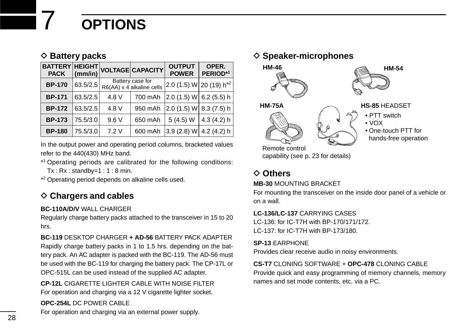# 7 **OPTIONS**

### **♦ Battery packs**

| <b>BATTERY HEIGHT</b><br><b>PACK</b> | $ $ (mm/in) |       | <b>VOLTAGE CAPACITY</b>                       | <b>OUTPUT</b><br><b>POWER</b> | OPER.<br>PERIOD*1 |
|--------------------------------------|-------------|-------|-----------------------------------------------|-------------------------------|-------------------|
| <b>BP-170</b>                        | 63.5/2.5    |       | Battery case for<br>R6(AA) x 4 alkaline cells | $ 2.0(1.5) W 20(19) h^{*2}$   |                   |
| <b>BP-171</b>                        | 63.5/2.5    | 4.8 V | 700 mAh                                       | 2.0 (1.5) W 6.2 (5.5) h       |                   |
| <b>BP-172</b>                        | 63.5/2.5    | 4.8 V | 950 mAh                                       | 2.0(1.5) W                    | 8.3(7.5)h         |
| <b>BP-173</b>                        | 75.5/3.0    | 9.6V  | 650 mAh                                       | 5(4.5) W                      | 4.3(4.2)h         |
| <b>BP-180</b>                        | 75.5/3.0    | 7.2V  | 600 mAh                                       | 3.9(2.8) W                    | 4.2(4.2)h         |

In the output power and operating period columns, bracketed values refer to the 440(430) MHz band.

\*1 Operating periods are calibrated for the following conditions:  $Tx : Rx : standardby=1 : 1 : 8 min$ .

\*2 Operating period depends on alkaline cells used.

### **♦ Chargers and cables**

### **BC-110A/D/V** WALL CHARGER

Regularly charge battery packs attached to the transceiver in 15 to 20 hrs.

**BC-119** DESKTOP CHARGER **+ AD-56** BATTERY PACK ADAPTER Rapidly charge battery packs in 1 to 1.5 hrs. depending on the battery pack. An AC adapter is packed with the BC-119. The AD-56 must be used with the BC-119 for charging the battery pack. The CP-17L or OPC-515L can be used instead of the supplied AC adapter.

**CP-12L** CIGARETTE LIGHTER CABLE WITH NOISE FILTER For operation and charging via a 12 V cigarette lighter socket.

**OPC-254L** DC POWER CABLE

For operation and charging via an external power supply.

### **♦ Speaker-microphones**



Remote control capability (see p. 23 for details)

### **⊘** Others

### **MB-30** MOUNTING BRACKET

For mounting the transceiver on the inside door panel of a vehicle or on a wall.

### **LC-136/LC-137** CARRYING CASES

LC-136: for IC-T7H with BP-170/171/172. LC-137: for IC-T7H with BP-173/180.

### **SP-13** EARPHONE

Provides clear receive audio in noisy environments.

### **CS-T7** CLONING SOFTWARE + **OPC-478** CLONING CABLE

Provide quick and easy programming of memory channels, memory names and set mode contents, etc. via a PC.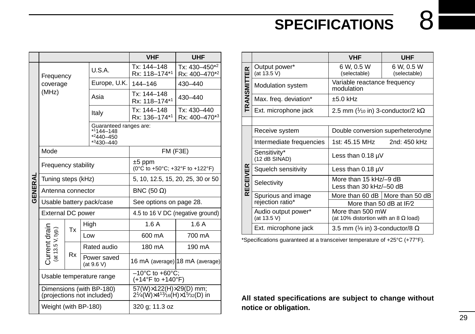# **SPECIFICATIONS**

|         |                                    |           |                                                        | <b>VHF</b>                                                                                                           | <b>UHF</b>                     |  |  |  |
|---------|------------------------------------|-----------|--------------------------------------------------------|----------------------------------------------------------------------------------------------------------------------|--------------------------------|--|--|--|
|         | Frequency                          |           | U.S.A.                                                 | Tx: 144-148<br>Rx: 118-174*1                                                                                         | Tx: 430-450*2<br>Rx: 400-470*2 |  |  |  |
|         | coverage                           |           | Europe, U.K.                                           | 144-146                                                                                                              | 430-440                        |  |  |  |
|         | (MHz)                              |           | Asia                                                   | Tx: 144-148<br>Rx: 118-174*1                                                                                         | 430-440                        |  |  |  |
|         |                                    |           | Italy                                                  | Tx: 144-148<br>Rx: 136-174*1                                                                                         | Tx: 430-440<br>Rx: 400-470*3   |  |  |  |
|         |                                    |           | *1144-148<br>$*2440 - 450$<br>$*3430 - 440$            | Guaranteed ranges are:                                                                                               |                                |  |  |  |
|         | Mode                               |           |                                                        | FM(F3E)                                                                                                              |                                |  |  |  |
|         | Frequency stability                |           |                                                        | $±5$ ppm<br>(0°C to +50°C; +32°F to +122°F)                                                                          |                                |  |  |  |
|         | Tuning steps (kHz)                 |           |                                                        | 5, 10, 12.5, 15, 20, 25, 30 or 50                                                                                    |                                |  |  |  |
| GENERAL | Antenna connector                  |           |                                                        | BNC (50 $\Omega$ )                                                                                                   |                                |  |  |  |
|         |                                    |           | Usable battery pack/case                               | See options on page 28.                                                                                              |                                |  |  |  |
|         | External DC power                  |           |                                                        | 4.5 to 16 V DC (negative ground)                                                                                     |                                |  |  |  |
|         |                                    | Тx        | High                                                   | 1.6A                                                                                                                 | 1.6A                           |  |  |  |
|         |                                    |           | Low                                                    | 600 mA                                                                                                               | 700 mA                         |  |  |  |
|         |                                    |           | Rated audio                                            | 180 mA                                                                                                               | 190 mA                         |  |  |  |
|         | Current drain<br>(at 13.5 V, typ.) | <b>Rx</b> | Power saved<br>(at 9.6 V)                              | 16 mA (average) 18 mA (average)                                                                                      |                                |  |  |  |
|         | Usable temperature range           |           |                                                        | $-10^{\circ}$ C to +60 $^{\circ}$ C:<br>$(+14^{\circ}F$ to $+140^{\circ}F)$                                          |                                |  |  |  |
|         |                                    |           | Dimensions (with BP-180)<br>(projections not included) | 57(W)×122(H)×29(D) mm;<br>$2\frac{1}{4}(\text{W}) \times 4\frac{13}{16}(\text{H}) \times 1\frac{5}{32}(\text{D})$ in |                                |  |  |  |
|         | Weight (with BP-180)               |           |                                                        | 320 g; 11.3 oz                                                                                                       |                                |  |  |  |

|                    |                                    | VHF                                                             | UHF                        |
|--------------------|------------------------------------|-----------------------------------------------------------------|----------------------------|
| <b>TRANSMITTER</b> | Output power*<br>(at 13.5 V)       | 6 W, 0.5 W<br>(selectable)                                      | 6 W, 0.5 W<br>(selectable) |
|                    | <b>Modulation system</b>           | Variable reactance frequency<br>modulation                      |                            |
|                    | Max. freq. deviation*              | $±5.0$ kHz                                                      |                            |
|                    | Ext. microphone jack               | 2.5 mm ( $\frac{1}{10}$ in) 3-conductor/2 k $\Omega$            |                            |
|                    |                                    |                                                                 |                            |
| <b>RECEIVER</b>    | Receive system                     | Double conversion superheterodyne                               |                            |
|                    | Intermediate frequencies           | 1st: 45.15 MHz                                                  | 2nd: 450 kHz               |
|                    | Sensitivity*<br>(12 dB SINAD)      | Less than $0.18 \mu V$                                          |                            |
|                    | Squelch sensitivity                | Less than $0.18 \mu V$                                          |                            |
|                    | Selectivity                        | More than 15 kHz/-9 dB<br>Less than 30 kHz/-50 dB               |                            |
|                    | Spurious and image                 | More than 60 dB   More than 50 dB                               |                            |
|                    | rejection ratio*                   | More than 50 dB at IF/2                                         |                            |
|                    | Audio output power*<br>(at 13.5 V) | More than 500 mW<br>(at 10% distortion with an 8 $\Omega$ load) |                            |
|                    | Ext. microphone jack               | 3.5 mm ( $\frac{1}{8}$ in) 3-conductor/8 $\Omega$               |                            |

\*Specifications guaranteed at a transceiver temperature of +25°C (+77°F).

**All stated specifications are subject to change without notice or obligation.**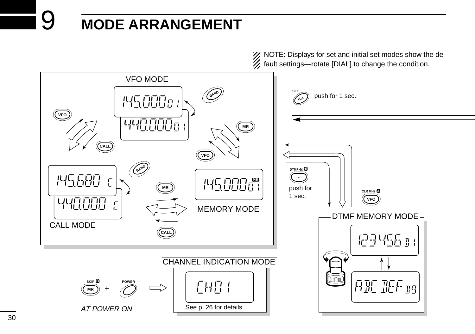# 9 **MODE ARRANGEMENT**

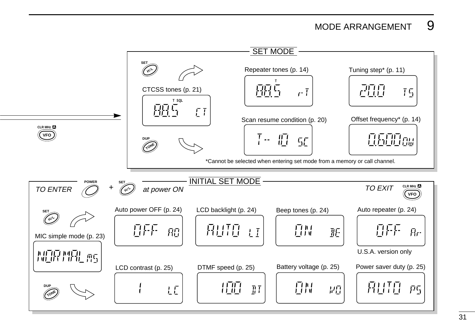### MODE ARRANGEMENT 9